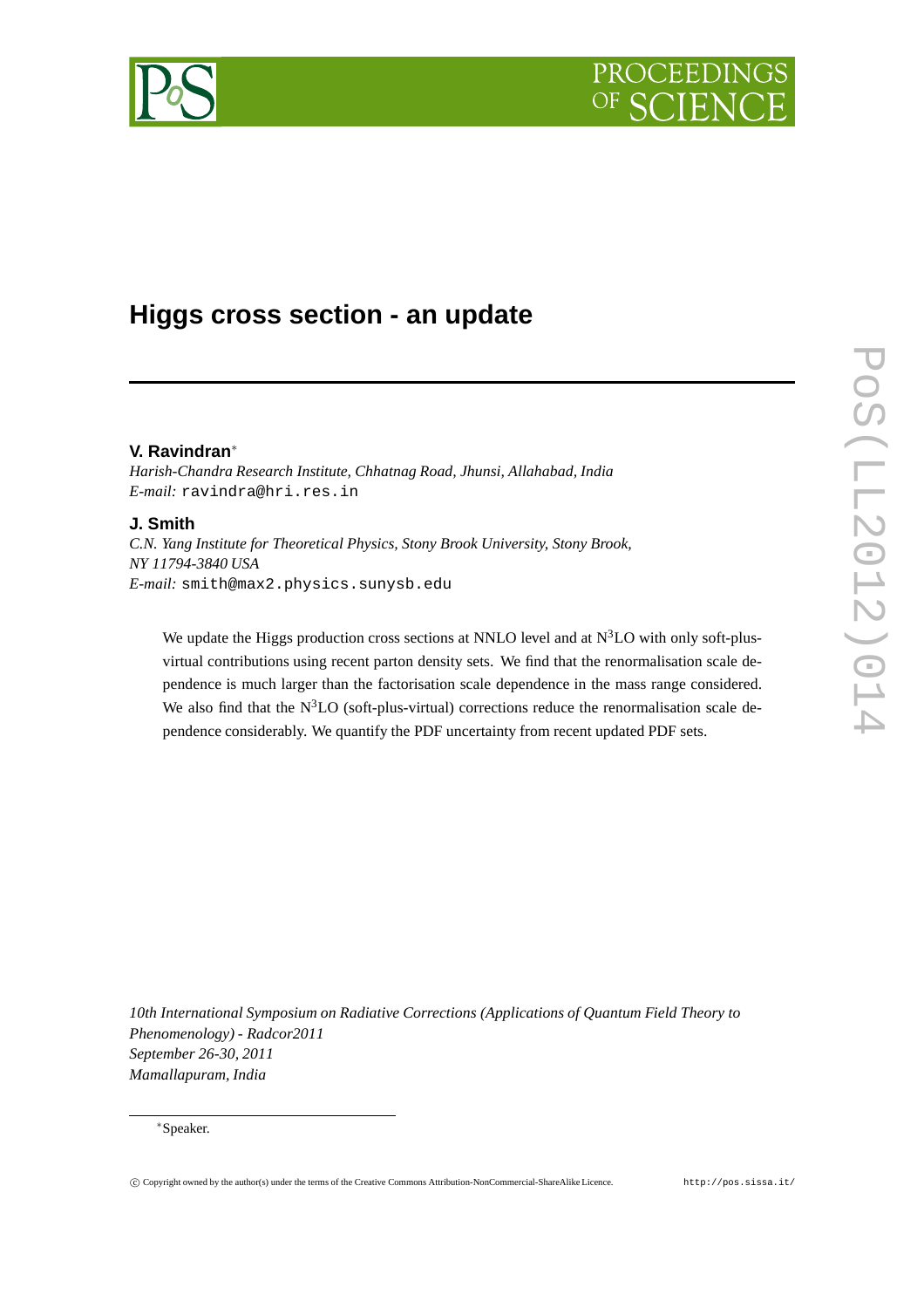# PROCEEDIN



## **Higgs cross section - an update**

### **V. Ravindran**∗

*Harish-Chandra Research Institute, Chhatnag Road, Jhunsi, Allahabad, India E-mail:* ravindra@hri.res.in

### **J. Smith**

*C.N. Yang Institute for Theoretical Physics, Stony Brook University, Stony Brook, NY 11794-3840 USA E-mail:* smith@max2.physics.sunysb.edu

We update the Higgs production cross sections at NNLO level and at  $N<sup>3</sup>LO$  with only soft-plusvirtual contributions using recent parton density sets. We find that the renormalisation scale dependence is much larger than the factorisation scale dependence in the mass range considered. We also find that the  $N<sup>3</sup>LO$  (soft-plus-virtual) corrections reduce the renormalisation scale dependence considerably. We quantify the PDF uncertainty from recent updated PDF sets.

*10th International Symposium on Radiative Corrections (Applications of Quantum Field Theory to Phenomenology) - Radcor2011 September 26-30, 2011 Mamallapuram, India*

<sup>∗</sup>Speaker.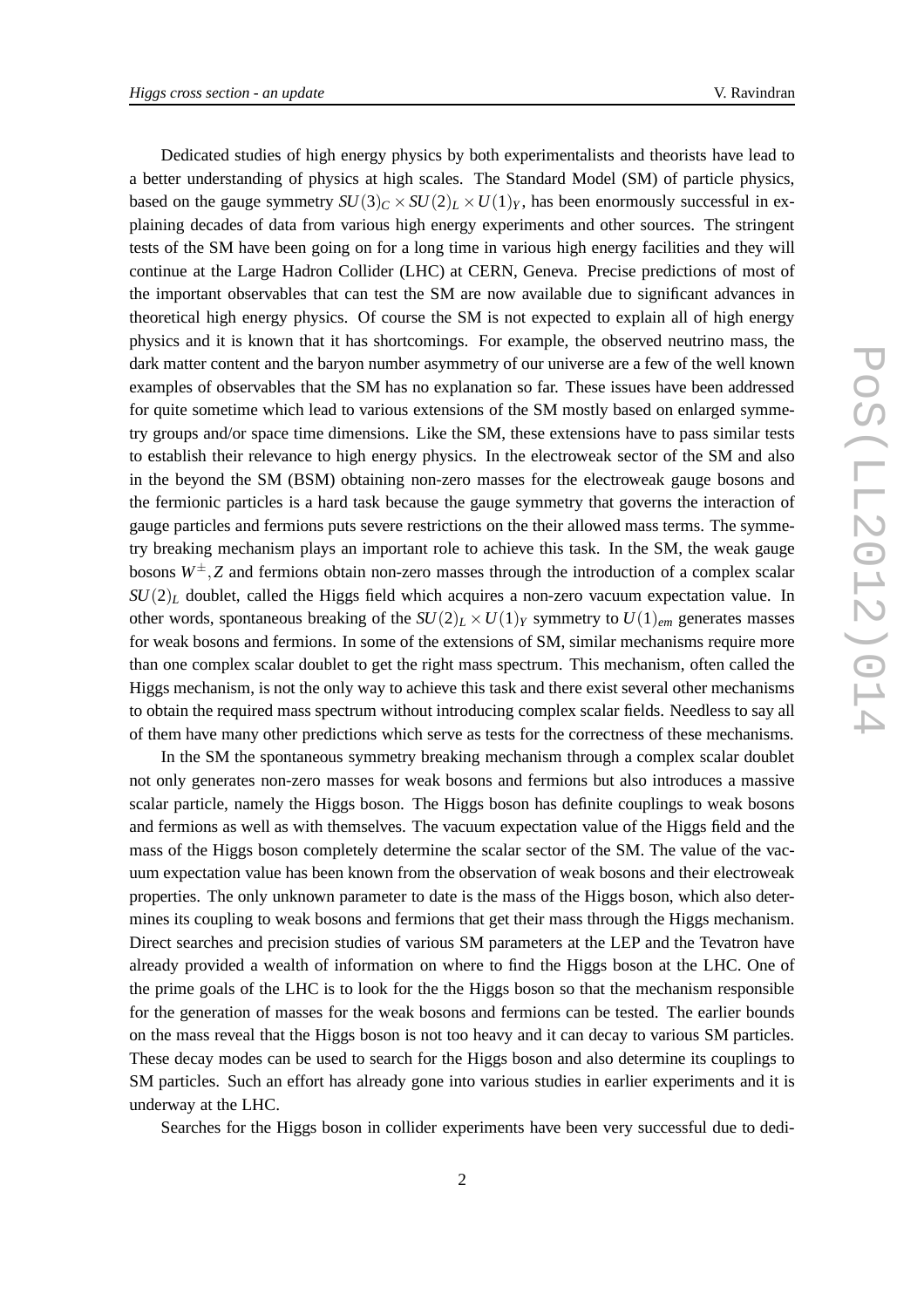Dedicated studies of high energy physics by both experimentalists and theorists have lead to a better understanding of physics at high scales. The Standard Model (SM) of particle physics, based on the gauge symmetry  $SU(3)_C \times SU(2)_L \times U(1)_Y$ , has been enormously successful in explaining decades of data from various high energy experiments and other sources. The stringent tests of the SM have been going on for a long time in various high energy facilities and they will continue at the Large Hadron Collider (LHC) at CERN, Geneva. Precise predictions of most of the important observables that can test the SM are now available due to significant advances in theoretical high energy physics. Of course the SM is not expected to explain all of high energy physics and it is known that it has shortcomings. For example, the observed neutrino mass, the dark matter content and the baryon number asymmetry of our universe are a few of the well known examples of observables that the SM has no explanation so far. These issues have been addressed for quite sometime which lead to various extensions of the SM mostly based on enlarged symmetry groups and/or space time dimensions. Like the SM, these extensions have to pass similar tests to establish their relevance to high energy physics. In the electroweak sector of the SM and also in the beyond the SM (BSM) obtaining non-zero masses for the electroweak gauge bosons and the fermionic particles is a hard task because the gauge symmetry that governs the interaction of gauge particles and fermions puts severe restrictions on the their allowed mass terms. The symmetry breaking mechanism plays an important role to achieve this task. In the SM, the weak gauge bosons  $W^{\pm}$ , *Z* and fermions obtain non-zero masses through the introduction of a complex scalar  $SU(2)_L$  doublet, called the Higgs field which acquires a non-zero vacuum expectation value. In other words, spontaneous breaking of the  $SU(2)_L \times U(1)_Y$  symmetry to  $U(1)_{em}$  generates masses for weak bosons and fermions. In some of the extensions of SM, similar mechanisms require more than one complex scalar doublet to get the right mass spectrum. This mechanism, often called the Higgs mechanism, is not the only way to achieve this task and there exist several other mechanisms to obtain the required mass spectrum without introducing complex scalar fields. Needless to say all of them have many other predictions which serve as tests for the correctness of these mechanisms.

In the SM the spontaneous symmetry breaking mechanism through a complex scalar doublet not only generates non-zero masses for weak bosons and fermions but also introduces a massive scalar particle, namely the Higgs boson. The Higgs boson has definite couplings to weak bosons and fermions as well as with themselves. The vacuum expectation value of the Higgs field and the mass of the Higgs boson completely determine the scalar sector of the SM. The value of the vacuum expectation value has been known from the observation of weak bosons and their electroweak properties. The only unknown parameter to date is the mass of the Higgs boson, which also determines its coupling to weak bosons and fermions that get their mass through the Higgs mechanism. Direct searches and precision studies of various SM parameters at the LEP and the Tevatron have already provided a wealth of information on where to find the Higgs boson at the LHC. One of the prime goals of the LHC is to look for the the Higgs boson so that the mechanism responsible for the generation of masses for the weak bosons and fermions can be tested. The earlier bounds on the mass reveal that the Higgs boson is not too heavy and it can decay to various SM particles. These decay modes can be used to search for the Higgs boson and also determine its couplings to SM particles. Such an effort has already gone into various studies in earlier experiments and it is underway at the LHC.

Searches for the Higgs boson in collider experiments have been very successful due to dedi-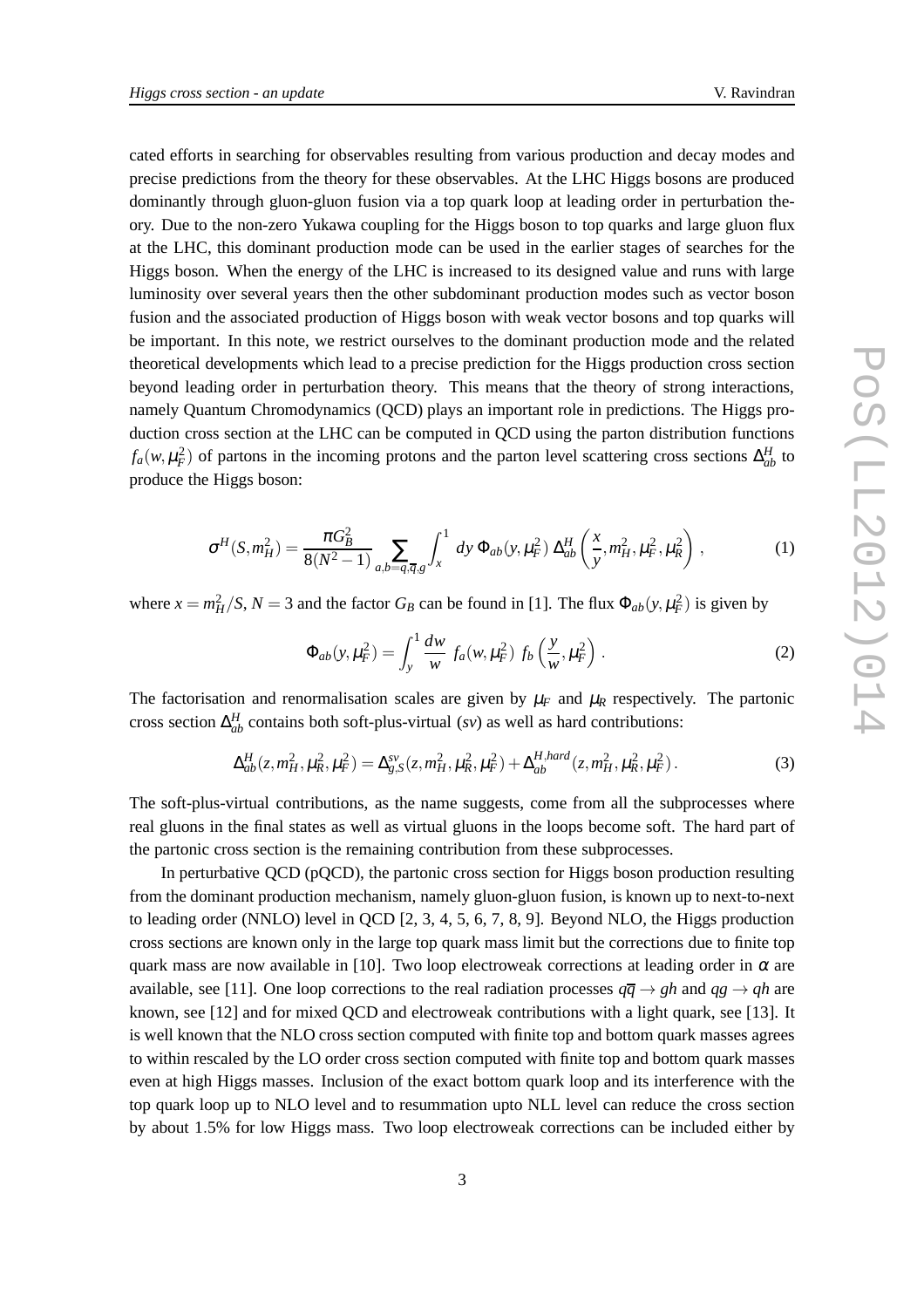cated efforts in searching for observables resulting from various production and decay modes and precise predictions from the theory for these observables. At the LHC Higgs bosons are produced dominantly through gluon-gluon fusion via a top quark loop at leading order in perturbation theory. Due to the non-zero Yukawa coupling for the Higgs boson to top quarks and large gluon flux at the LHC, this dominant production mode can be used in the earlier stages of searches for the Higgs boson. When the energy of the LHC is increased to its designed value and runs with large luminosity over several years then the other subdominant production modes such as vector boson fusion and the associated production of Higgs boson with weak vector bosons and top quarks will be important. In this note, we restrict ourselves to the dominant production mode and the related theoretical developments which lead to a precise prediction for the Higgs production cross section beyond leading order in perturbation theory. This means that the theory of strong interactions, namely Quantum Chromodynamics (QCD) plays an important role in predictions. The Higgs production cross section at the LHC can be computed in QCD using the parton distribution functions  $f_a(w, \mu_F^2)$  of partons in the incoming protons and the parton level scattering cross sections  $\Delta_{ab}^H$  to produce the Higgs boson:

$$
\sigma^{H}(S, m_{H}^{2}) = \frac{\pi G_{B}^{2}}{8(N^{2}-1)} \sum_{a,b=q,\overline{q},g} \int_{x}^{1} dy \, \Phi_{ab}(y,\mu_{F}^{2}) \, \Delta_{ab}^{H}\left(\frac{x}{y}, m_{H}^{2}, \mu_{F}^{2}, \mu_{R}^{2}\right), \tag{1}
$$

where  $x = m_H^2/S$ ,  $N = 3$  and the factor  $G_B$  can be found in [1]. The flux  $\Phi_{ab}(y, \mu_F^2)$  is given by

$$
\Phi_{ab}(y,\mu_F^2) = \int_y^1 \frac{dw}{w} f_a(w,\mu_F^2) f_b\left(\frac{y}{w},\mu_F^2\right). \tag{2}
$$

The factorisation and renormalisation scales are given by  $\mu_F$  and  $\mu_R$  respectively. The partonic cross section  $\Delta_{ab}^H$  contains both soft-plus-virtual (*sv*) as well as hard contributions:

$$
\Delta_{ab}^H(z, m_H^2, \mu_R^2, \mu_F^2) = \Delta_{g,S}^{sv}(z, m_H^2, \mu_R^2, \mu_F^2) + \Delta_{ab}^{H, hard}(z, m_H^2, \mu_R^2, \mu_F^2).
$$
 (3)

The soft-plus-virtual contributions, as the name suggests, come from all the subprocesses where real gluons in the final states as well as virtual gluons in the loops become soft. The hard part of the partonic cross section is the remaining contribution from these subprocesses.

In perturbative QCD (pQCD), the partonic cross section for Higgs boson production resulting from the dominant production mechanism, namely gluon-gluon fusion, is known up to next-to-next to leading order (NNLO) level in QCD [2, 3, 4, 5, 6, 7, 8, 9]. Beyond NLO, the Higgs production cross sections are known only in the large top quark mass limit but the corrections due to finite top quark mass are now available in [10]. Two loop electroweak corrections at leading order in  $\alpha$  are available, see [11]. One loop corrections to the real radiation processes  $q\bar{q} \rightarrow gh$  and  $qg \rightarrow gh$  are known, see [12] and for mixed QCD and electroweak contributions with a light quark, see [13]. It is well known that the NLO cross section computed with finite top and bottom quark masses agrees to within rescaled by the LO order cross section computed with finite top and bottom quark masses even at high Higgs masses. Inclusion of the exact bottom quark loop and its interference with the top quark loop up to NLO level and to resummation upto NLL level can reduce the cross section by about 1.5% for low Higgs mass. Two loop electroweak corrections can be included either by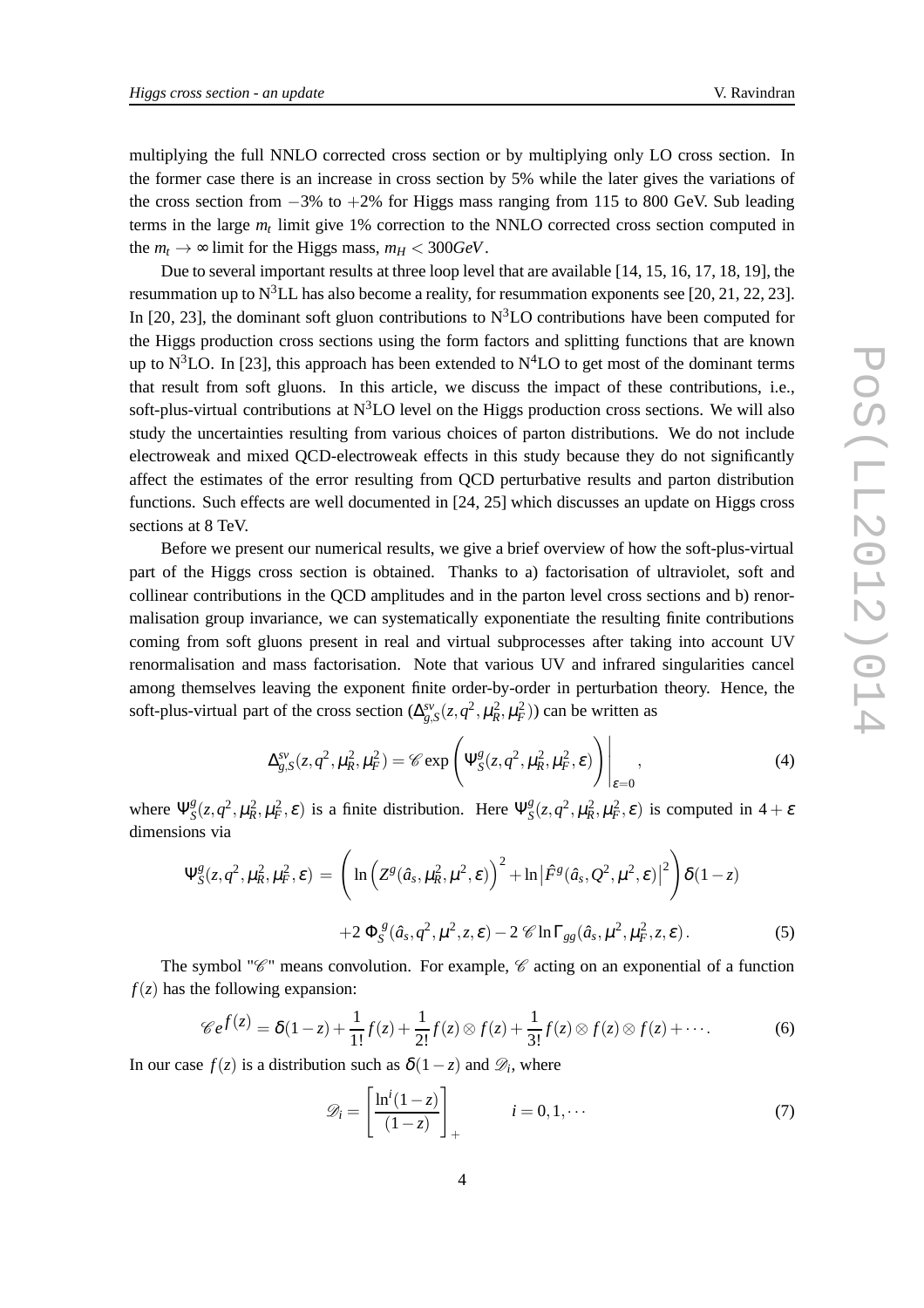multiplying the full NNLO corrected cross section or by multiplying only LO cross section. In the former case there is an increase in cross section by 5% while the later gives the variations of the cross section from  $-3\%$  to  $+2\%$  for Higgs mass ranging from 115 to 800 GeV. Sub leading terms in the large *m<sup>t</sup>* limit give 1% correction to the NNLO corrected cross section computed in the  $m_t \rightarrow \infty$  limit for the Higgs mass,  $m_H < 300 GeV$ .

Due to several important results at three loop level that are available [14, 15, 16, 17, 18, 19], the resummation up to  $N^3LL$  has also become a reality, for resummation exponents see [20, 21, 22, 23]. In [20, 23], the dominant soft gluon contributions to  $N<sup>3</sup>LO$  contributions have been computed for the Higgs production cross sections using the form factors and splitting functions that are known up to N<sup>3</sup>LO. In [23], this approach has been extended to N<sup>4</sup>LO to get most of the dominant terms that result from soft gluons. In this article, we discuss the impact of these contributions, i.e., soft-plus-virtual contributions at  $N<sup>3</sup>LO$  level on the Higgs production cross sections. We will also study the uncertainties resulting from various choices of parton distributions. We do not include electroweak and mixed QCD-electroweak effects in this study because they do not significantly affect the estimates of the error resulting from QCD perturbative results and parton distribution functions. Such effects are well documented in [24, 25] which discusses an update on Higgs cross sections at 8 TeV.

Before we present our numerical results, we give a brief overview of how the soft-plus-virtual part of the Higgs cross section is obtained. Thanks to a) factorisation of ultraviolet, soft and collinear contributions in the QCD amplitudes and in the parton level cross sections and b) renormalisation group invariance, we can systematically exponentiate the resulting finite contributions coming from soft gluons present in real and virtual subprocesses after taking into account UV renormalisation and mass factorisation. Note that various UV and infrared singularities cancel among themselves leaving the exponent finite order-by-order in perturbation theory. Hence, the soft-plus-virtual part of the cross section  $(\Delta_{g,S}^{sv}(z, q^2, \mu_R^2, \mu_F^2))$  can be written as

$$
\Delta_{g,S}^{sv}(z,q^2,\mu_R^2,\mu_F^2) = \mathscr{C} \exp\left(\Psi_S^g(z,q^2,\mu_R^2,\mu_F^2,\varepsilon)\right)\Big|_{\varepsilon=0},\tag{4}
$$

where Ψ *g*  $S^g(z, q^2, \mu_R^2, \mu_F^2, \varepsilon)$  is a finite distribution. Here  $\Psi_S^g$  $S^g$ (*z*,*q*<sup>2</sup>,  $\mu_R^2$ ,  $\mu_F^2$ ,  $\varepsilon$ ) is computed in 4 +  $\varepsilon$ dimensions via

$$
\Psi_{S}^{g}(z,q^{2},\mu_{R}^{2},\mu_{F}^{2},\varepsilon) = \left(\ln\left(Z^{g}(\hat{a}_{s},\mu_{R}^{2},\mu^{2},\varepsilon)\right)^{2} + \ln\left|\hat{F}^{g}(\hat{a}_{s},Q^{2},\mu^{2},\varepsilon)\right|^{2}\right)\delta(1-z)
$$

$$
+2\,\Phi_{S}^{g}(\hat{a}_{s},q^{2},\mu^{2},z,\varepsilon) - 2\,\mathscr{C}\ln\Gamma_{gg}(\hat{a}_{s},\mu^{2},\mu_{F}^{2},z,\varepsilon). \tag{5}
$$

The symbol " $\mathscr{C}$ " means convolution. For example,  $\mathscr{C}$  acting on an exponential of a function  $f(z)$  has the following expansion:

$$
\mathscr{C}e^{f(z)} = \delta(1-z) + \frac{1}{1!}f(z) + \frac{1}{2!}f(z) \otimes f(z) + \frac{1}{3!}f(z) \otimes f(z) \otimes f(z) + \cdots
$$
 (6)

In our case  $f(z)$  is a distribution such as  $\delta(1-z)$  and  $\mathscr{D}_i$ , where

$$
\mathscr{D}_i = \left[ \frac{\ln^i(1-z)}{(1-z)} \right]_+ \qquad i = 0, 1, \cdots \tag{7}
$$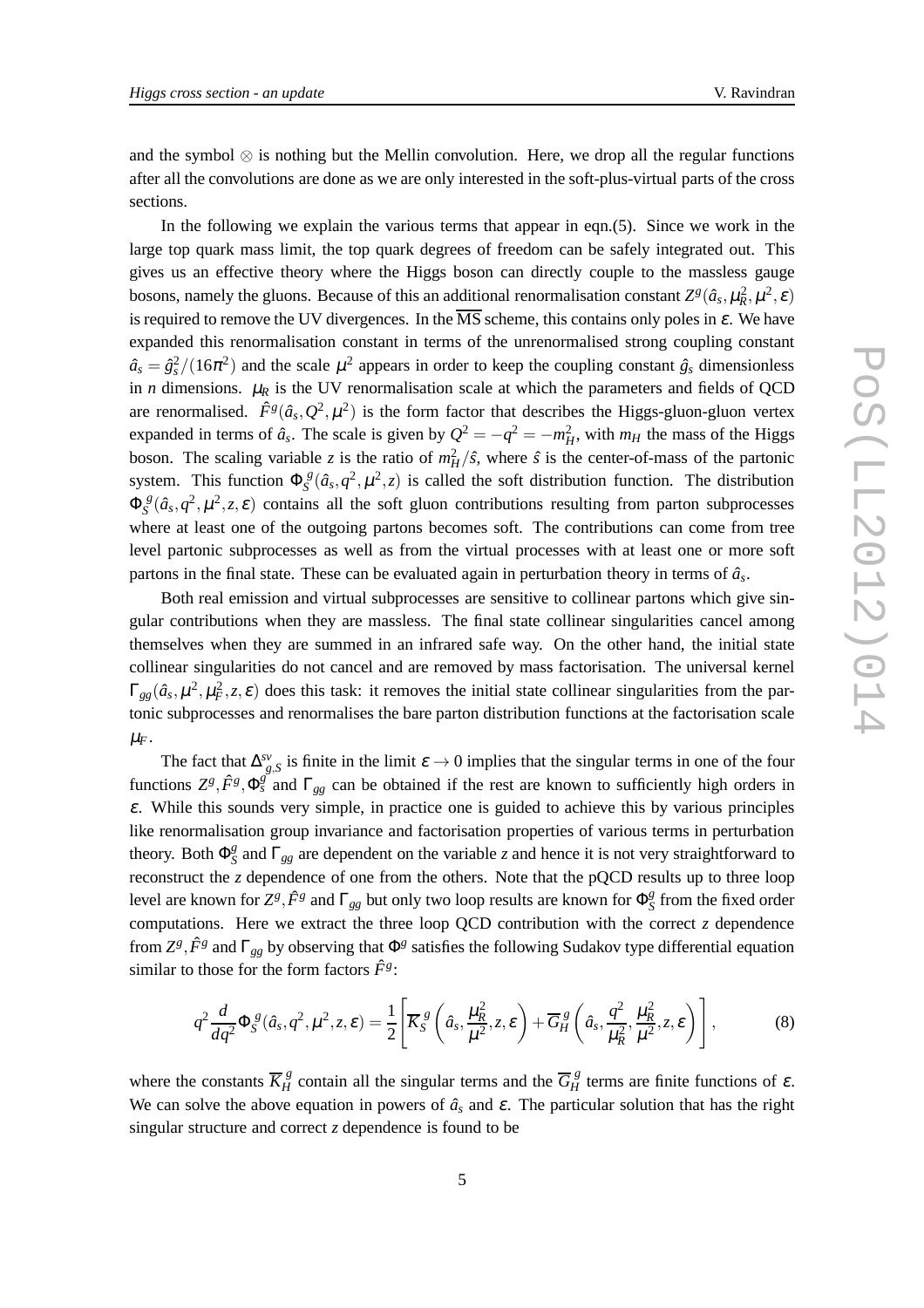and the symbol  $\otimes$  is nothing but the Mellin convolution. Here, we drop all the regular functions after all the convolutions are done as we are only interested in the soft-plus-virtual parts of the cross sections.

In the following we explain the various terms that appear in eqn.(5). Since we work in the large top quark mass limit, the top quark degrees of freedom can be safely integrated out. This gives us an effective theory where the Higgs boson can directly couple to the massless gauge bosons, namely the gluons. Because of this an additional renormalisation constant  $Z^g(\hat{a}_s, \mu_R^2, \mu^2, \varepsilon)$ is required to remove the UV divergences. In the  $\overline{\text{MS}}$  scheme, this contains only poles in  $\varepsilon$ . We have expanded this renormalisation constant in terms of the unrenormalised strong coupling constant  $\hat{a}_s = \hat{g}_s^2/(16\pi^2)$  and the scale  $\mu^2$  appears in order to keep the coupling constant  $\hat{g}_s$  dimensionless in *n* dimensions.  $\mu_R$  is the UV renormalisation scale at which the parameters and fields of QCD are renormalised.  $\hat{F}^g(\hat{a}_s, Q^2, \mu^2)$  is the form factor that describes the Higgs-gluon-gluon vertex expanded in terms of  $\hat{a}_s$ . The scale is given by  $Q^2 = -q^2 = -m_H^2$ , with  $m_H$  the mass of the Higgs boson. The scaling variable *z* is the ratio of  $m_H^2/\hat{s}$ , where  $\hat{s}$  is the center-of-mass of the partonic system. This function  $\Phi_{S}^{\ \beta}$  $S^g$  ( $\hat{a}_s$ ,  $q^2$ ,  $\mu^2$ , *z*) is called the soft distribution function. The distribution  $\Phi_{\scriptscriptstyle S}^{\;\;\delta}$  $\int_S^g(\hat{a}_s, q^2, \mu^2, z, \varepsilon)$  contains all the soft gluon contributions resulting from parton subprocesses where at least one of the outgoing partons becomes soft. The contributions can come from tree level partonic subprocesses as well as from the virtual processes with at least one or more soft partons in the final state. These can be evaluated again in perturbation theory in terms of  $\hat{a}_s$ .

Both real emission and virtual subprocesses are sensitive to collinear partons which give singular contributions when they are massless. The final state collinear singularities cancel among themselves when they are summed in an infrared safe way. On the other hand, the initial state collinear singularities do not cancel and are removed by mass factorisation. The universal kernel  $\Gamma_{gg}(\hat{a}_s, \mu^2, \mu_F^2, z, \varepsilon)$  does this task: it removes the initial state collinear singularities from the partonic subprocesses and renormalises the bare parton distribution functions at the factorisation scale  $\mu_F$ .

The fact that  $\Delta_{g,S}^{sv}$  is finite in the limit  $\varepsilon \to 0$  implies that the singular terms in one of the four functions  $Z^g$ ,  $\hat{F}^g$ ,  $\Phi_s^g$  and  $\Gamma_{gg}$  can be obtained if the rest are known to sufficiently high orders in  $\varepsilon$ . While this sounds very simple, in practice one is guided to achieve this by various principles like renormalisation group invariance and factorisation properties of various terms in perturbation theory. Both  $\Phi_S^g$ *S* and Γ*gg* are dependent on the variable *z* and hence it is not very straightforward to reconstruct the *z* dependence of one from the others. Note that the pQCD results up to three loop level are known for  $Z^g$ ,  $\hat{F}^g$  and  $\Gamma_{gg}$  but only two loop results are known for  $\Phi_S^g$  $\frac{g}{S}$  from the fixed order computations. Here we extract the three loop QCD contribution with the correct *z* dependence from  $Z^g$ ,  $\hat{F}^g$  and  $\Gamma_{gg}$  by observing that  $\Phi^g$  satisfies the following Sudakov type differential equation similar to those for the form factors  $\hat{F}^g$ :

$$
q^2 \frac{d}{dq^2} \Phi_S^{\ g}(\hat{a}_s, q^2, \mu^2, z, \varepsilon) = \frac{1}{2} \left[ \overline{K}_S^{\ g} \left( \hat{a}_s, \frac{\mu_R^2}{\mu^2}, z, \varepsilon \right) + \overline{G}_H^{\ g} \left( \hat{a}_s, \frac{q^2}{\mu_R^2}, \frac{\mu_R^2}{\mu^2}, z, \varepsilon \right) \right],
$$
(8)

where the constants  $\overline{K}_H^g$  contain all the singular terms and the  $\overline{G}_H^g$  terms are finite functions of  $\varepsilon$ . We can solve the above equation in powers of  $\hat{a}_s$  and  $\varepsilon$ . The particular solution that has the right singular structure and correct *z* dependence is found to be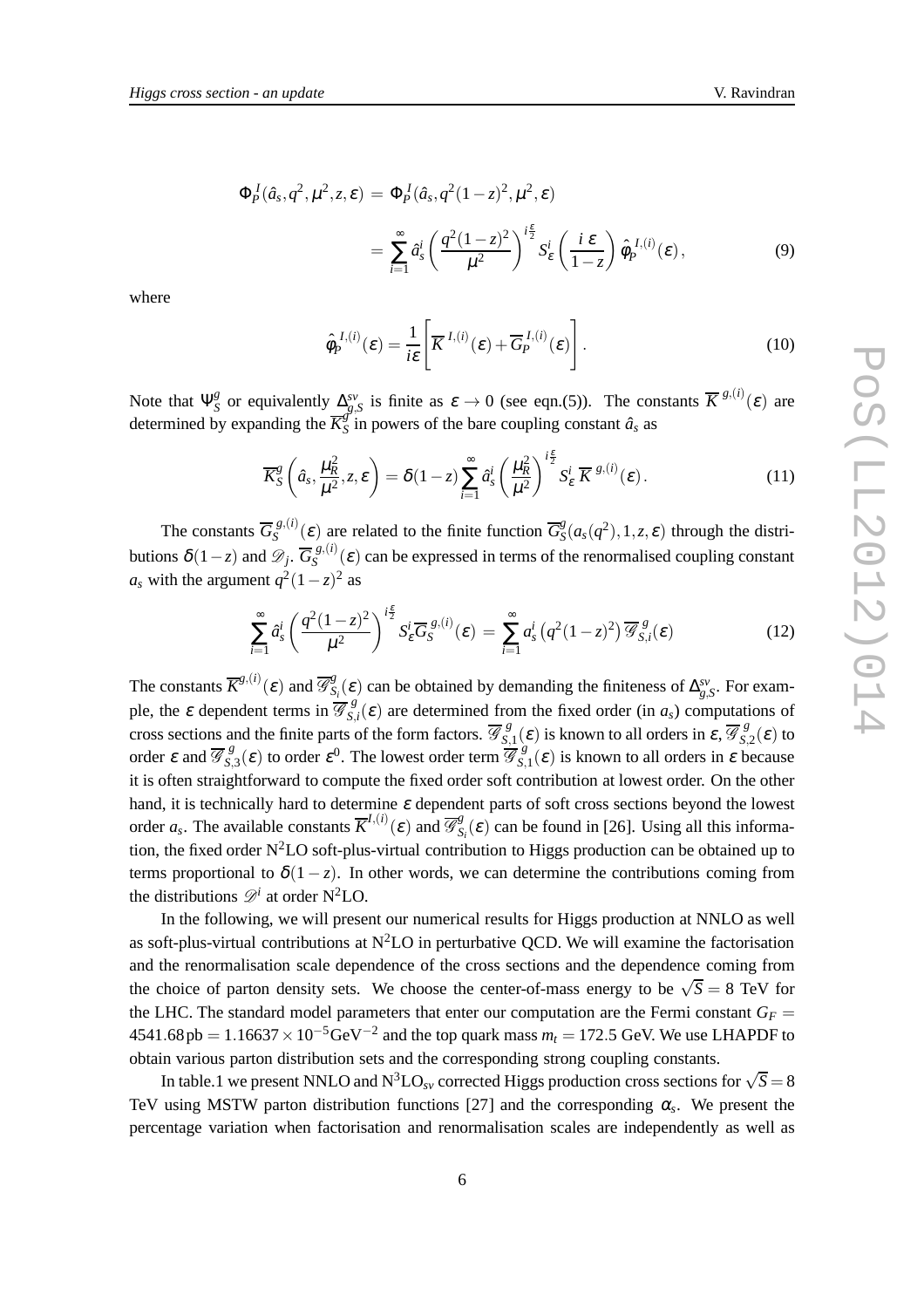$$
\Phi_p^I(\hat{a}_s, q^2, \mu^2, z, \varepsilon) = \Phi_p^I(\hat{a}_s, q^2(1-z)^2, \mu^2, \varepsilon)
$$
  
= 
$$
\sum_{i=1}^{\infty} \hat{a}_s^i \left( \frac{q^2(1-z)^2}{\mu^2} \right)^{i\frac{\varepsilon}{2}} S_{\varepsilon}^i \left( \frac{i \varepsilon}{1-z} \right) \hat{\phi}_p^{I,(i)}(\varepsilon),
$$
 (9)

where

$$
\hat{\phi}_P^{I,(i)}(\varepsilon) = \frac{1}{i\varepsilon} \left[ \overline{K}^{I,(i)}(\varepsilon) + \overline{G}_P^{I,(i)}(\varepsilon) \right].
$$
\n(10)

Note that  $\Psi_{S}^{g}$ *g*<sub>S</sub> or equivalently  $\Delta_{g,S}^{sv}$  is finite as  $\varepsilon \to 0$  (see eqn.(5)). The constants  $\overline{K}^{g,(i)}(\varepsilon)$  are determined by expanding the  $\overline{K}^g_S$  $\hat{s}$  in powers of the bare coupling constant  $\hat{a}_s$  as

$$
\overline{K}_{S}^{g}\left(\hat{a}_{s}, \frac{\mu_{R}^{2}}{\mu^{2}}, z, \varepsilon\right) = \delta(1-z) \sum_{i=1}^{\infty} \hat{a}_{s}^{i} \left(\frac{\mu_{R}^{2}}{\mu^{2}}\right)^{i\frac{\varepsilon}{2}} S_{\varepsilon}^{i} \overline{K}^{g,(i)}(\varepsilon).
$$
\n(11)

The constants  $\overline{G}_{S}^{g,(i)}$  $S_S^{(g,(i)}(\varepsilon)$  are related to the finite function  $\overline{G}_S^g$  $S_S^g(a_s(q^2), 1, z, \varepsilon)$  through the distributions  $\delta(1-z)$  and  $\mathscr{D}_j$ .  $\overline{G}_{S}^{g,(i)}$  $S^{(8)}(ε)$  can be expressed in terms of the renormalised coupling constant  $a_s$  with the argument  $q^2(1-z)^2$  as

$$
\sum_{i=1}^{\infty} \hat{a}_s^i \left( \frac{q^2 (1-z)^2}{\mu^2} \right)^{i\frac{\varepsilon}{2}} S_{\varepsilon}^i \overline{G}_S^{g,(i)}(\varepsilon) = \sum_{i=1}^{\infty} a_s^i \left( q^2 (1-z)^2 \right) \overline{\mathcal{G}}_{S,i}^g(\varepsilon)
$$
(12)

The constants  $\overline{K}^{g,(i)}(\varepsilon)$  and  $\overline{\mathscr{G}}_S^g$  $S_i(\varepsilon)$  can be obtained by demanding the finiteness of  $\Delta_{g,S}^{sv}$ . For example, the  $\varepsilon$  dependent terms in  $\overline{\mathscr{G}}_{S}^g$  $S$ <sub>*S*</sub>,*i*(**ε**) are determined from the fixed order (in *a<sub>s</sub>*) computations of cross sections and the finite parts of the form factors.  $\overline{\mathscr{G}}_S^g$  $S_{5,1}^g(\varepsilon)$  is known to all orders in  $\varepsilon$ ,  $\overline{\mathscr{G}}_{S_1}^g$  $S_{,2}^s(\varepsilon)$  to order  $\varepsilon$  and  $\overline{\mathscr{G}}_{S}^g$  $S_{,3}^g(\varepsilon)$  to order  $\varepsilon^0$ . The lowest order term  $\overline{\mathscr{G}}_{S_2}^{(1)}$  $S_{s,1}^{s}(\varepsilon)$  is known to all orders in  $\varepsilon$  because it is often straightforward to compute the fixed order soft contribution at lowest order. On the other hand, it is technically hard to determine  $\varepsilon$  dependent parts of soft cross sections beyond the lowest order  $a_s$ . The available constants  $\overline{K}^{I,(i)}(\varepsilon)$  and  $\overline{\mathscr{G}}_S^g$  $S_i(\varepsilon)$  can be found in [26]. Using all this information, the fixed order  $N^2LO$  soft-plus-virtual contribution to Higgs production can be obtained up to terms proportional to  $\delta(1-z)$ . In other words, we can determine the contributions coming from the distributions  $\mathscr{D}^i$  at order N<sup>2</sup>LO.

In the following, we will present our numerical results for Higgs production at NNLO as well as soft-plus-virtual contributions at  $N^2LO$  in perturbative QCD. We will examine the factorisation and the renormalisation scale dependence of the cross sections and the dependence coming from the choice of parton density sets. We choose the center-of-mass energy to be  $\sqrt{S} = 8$  TeV for the LHC. The standard model parameters that enter our computation are the Fermi constant  $G_F =$  $4541.68 \text{ pb} = 1.16637 \times 10^{-5} \text{GeV}^{-2}$  and the top quark mass  $m_t = 172.5 \text{ GeV}$ . We use LHAPDF to obtain various parton distribution sets and the corresponding strong coupling constants.

In table.1 we present NNLO and N<sup>3</sup>LO<sub>sv</sub> corrected Higgs production cross sections for  $\sqrt{S} = 8$ TeV using MSTW parton distribution functions [27] and the corresponding  $\alpha_s$ . We present the percentage variation when factorisation and renormalisation scales are independently as well as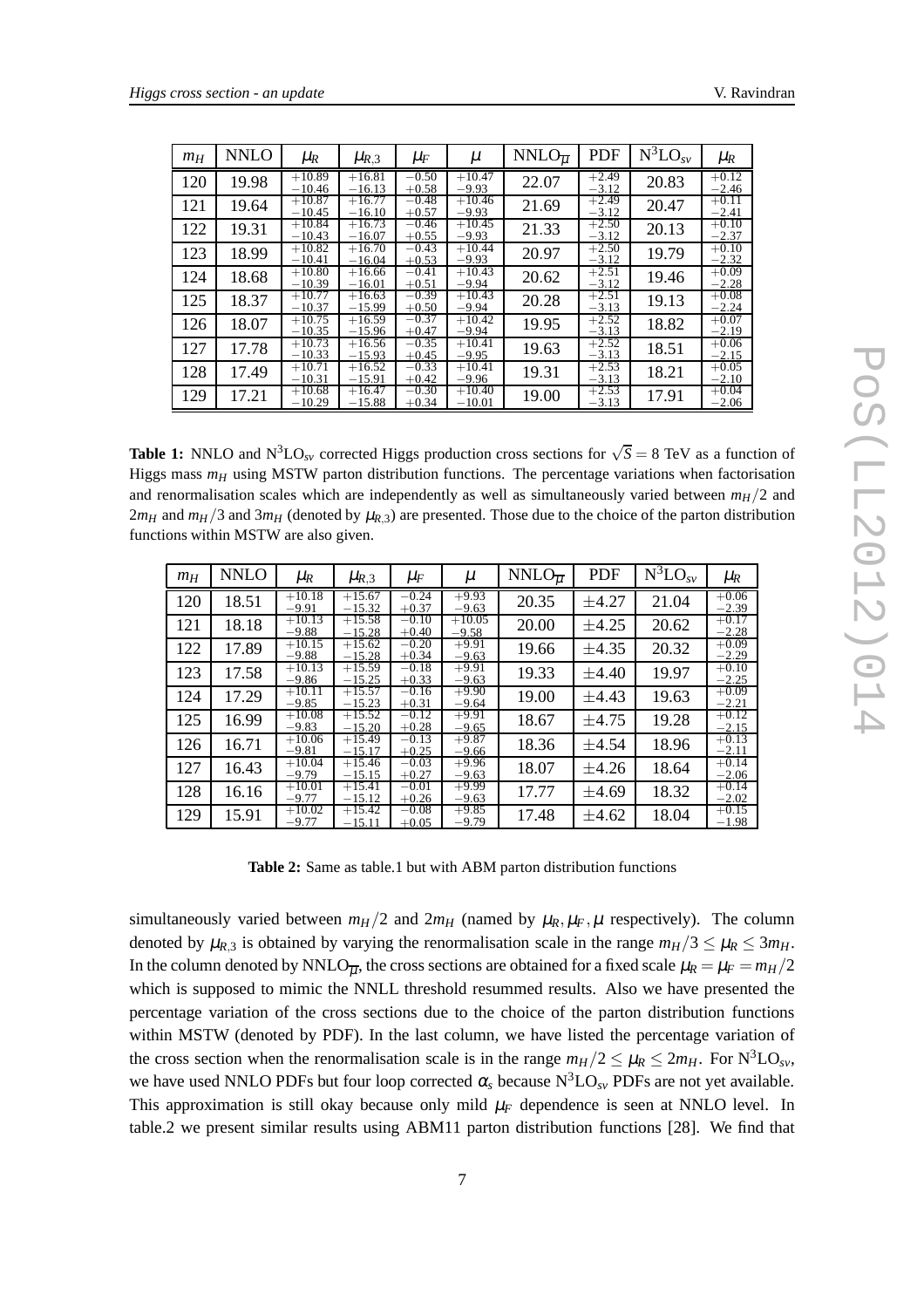| $m_H$ | NNLO  | $\mu_R$              | $\mu_{R,3}$          | $\mu_F$            | μ                    | $NNLO_{\overline{u}}$ | <b>PDF</b>         | $N^3LO_{SV}$ | $\mu_R$            |
|-------|-------|----------------------|----------------------|--------------------|----------------------|-----------------------|--------------------|--------------|--------------------|
| 120   | 19.98 | $+10.89$<br>$-10.46$ | $+16.81$<br>$-16.13$ | $-0.50$<br>$+0.58$ | $+10.47$<br>$-9.93$  | 22.07                 | $+2.49$<br>$-3.12$ | 20.83        | $+0.12$<br>$-2.46$ |
| 121   | 19.64 | $+10.87$<br>$-10.45$ | $+16.77$<br>$-16.10$ | $-0.48$<br>$+0.57$ | $+10.46$<br>$-9.93$  | 21.69                 | $+2.49$<br>$-3.12$ | 20.47        | $+0.11$<br>$-2.41$ |
| 122   | 19.31 | $+10.84$<br>$-10.43$ | $+16.73$<br>$-16.07$ | $-0.46$<br>$+0.55$ | $+10.45$<br>$-9.93$  | 21.33                 | $+2.50$<br>$-3.12$ | 20.13        | $+0.10$<br>$-2.37$ |
| 123   | 18.99 | $+10.82$<br>$-10.41$ | $+16.70$<br>$-16.04$ | $-0.43$<br>$+0.53$ | $+10.44$<br>$-9.93$  | 20.97                 | $+2.50$<br>$-3.12$ | 19.79        | $+0.10$<br>$-2.32$ |
| 124   | 18.68 | $+10.80$<br>$-10.39$ | $+16.66$<br>$-16.01$ | $-0.41$<br>$+0.51$ | $+10.43$<br>$-9.94$  | 20.62                 | $+2.51$<br>$-3.12$ | 19.46        | $+0.09$<br>$-2.28$ |
| 125   | 18.37 | $+10.77$<br>$-10.37$ | $+16.63$<br>$-15.99$ | $-0.39$<br>$+0.50$ | $+10.43$<br>$-9.94$  | 20.28                 | $+2.51$<br>$-3.13$ | 19.13        | $+0.08$<br>$-2.24$ |
| 126   | 18.07 | $+10.75$<br>$-10.35$ | $+16.59$<br>$-15.96$ | $-0.37$<br>$+0.47$ | $+10.42$<br>$-9.94$  | 19.95                 | $+2.52$<br>$-3.13$ | 18.82        | $+0.07$<br>$-2.19$ |
| 127   | 17.78 | $+10.73$<br>$-10.33$ | $+16.56$<br>$-15.93$ | $-0.35$<br>$+0.45$ | $+10.41$<br>$-9.95$  | 19.63                 | $+2.52$<br>$-3.13$ | 18.51        | $+0.06$<br>$-2.15$ |
| 128   | 17.49 | $+10.71$<br>$-10.31$ | $+16.52$<br>$-15.91$ | $-0.33$<br>$+0.42$ | $+10.41$<br>$-9.96$  | 19.31                 | $+2.53$<br>$-3.13$ | 18.21        | $+0.05$<br>$-2.10$ |
| 129   | 17.21 | $+10.68$<br>$-10.29$ | $+16.47$<br>$-15.88$ | $-0.30$<br>$+0.34$ | $+10.40$<br>$-10.01$ | 19.00                 | $+2.53$<br>$-3.13$ | 17.91        | $+0.04$<br>$-2.06$ |

**Table 1:** NNLO and  $N^3LO_{sv}$  corrected Higgs production cross sections for  $\sqrt{S} = 8$  TeV as a function of Higgs mass  $m_H$  using MSTW parton distribution functions. The percentage variations when factorisation and renormalisation scales which are independently as well as simultaneously varied between  $m_H/2$  and  $2m_H$  and  $m_H/3$  and  $3m_H$  (denoted by  $\mu_{R,3}$ ) are presented. Those due to the choice of the parton distribution functions within MSTW are also given.

| $m_H$ | <b>NNLO</b> | $\mu_R$             | $\mu_{R,3}$          | $\mu_F$            | $\mu$                         | $NNLO_{\overline{u}}$ | <b>PDF</b> | $N^3$ LO <sub>sv</sub> | $\mu_R$            |
|-------|-------------|---------------------|----------------------|--------------------|-------------------------------|-----------------------|------------|------------------------|--------------------|
| 120   | 18.51       | $+10.18$<br>$-9.91$ | $+15.67$<br>$-15.32$ | $-0.24$<br>$+0.37$ | $+9.93$<br>$-9.63$            | 20.35                 | $\pm 4.27$ | 21.04                  | $+0.06$<br>$-2.39$ |
| 121   | 18.18       | $+10.13$<br>$-9.88$ | $+15.58$<br>$-15.28$ | $-0.10$<br>$+0.40$ | $+10.05$<br>$-9.58$           | 20.00                 | $\pm 4.25$ | 20.62                  | $+0.17$<br>$-2.28$ |
| 122   | 17.89       | $+10.15$<br>$-9.88$ | $+15.62$<br>$-15.28$ | $-0.20$<br>$+0.34$ | $+9.91$<br>$-9.63$            | 19.66                 | ±4.35      | 20.32                  | $+0.09$<br>$-2.29$ |
| 123   | 17.58       | $+10.13$<br>$-9.86$ | $+15.59$<br>$-15.25$ | $-0.18$<br>$+0.33$ | $+9.91$<br>$-9.63$            | 19.33                 | $\pm 4.40$ | 19.97                  | $+0.10$<br>$-2.25$ |
| 124   | 17.29       | $+10.11$<br>$-9.85$ | $+15.57$<br>$-15.23$ | $-0.16$<br>$+0.31$ | $+9.90$<br>$-9.64$            | 19.00                 | ±4.43      | 19.63                  | $+0.09$<br>$-2.21$ |
| 125   | 16.99       | $+10.08$<br>$-9.83$ | $+15.52$<br>$-15.20$ | $-0.12$<br>$+0.28$ | $+9.91$<br>$-9.65$            | 18.67                 | ±4.75      | 19.28                  | $+0.12$<br>$-2.15$ |
| 126   | 16.71       | $+10.06$<br>$-9.81$ | $+15.49$<br>$-15.17$ | $-0.13$<br>$+0.25$ | $+9.87$<br>$-9.66$            | 18.36                 | ±4.54      | 18.96                  | $+0.13$<br>$-2.11$ |
| 127   | 16.43       | $+10.04$<br>$-9.79$ | $+15.46$<br>$-15.15$ | $-0.03$<br>$+0.27$ | $+9.96$<br>$-9.63$            | 18.07                 | ±4.26      | 18.64                  | $+0.14$<br>$-2.06$ |
| 128   | 16.16       | $+10.01$<br>$-9.77$ | $+15.41$<br>$-15.12$ | $-0.01$<br>$+0.26$ | $+9.99$<br>$-9.63$            | 17.77                 | ±4.69      | 18.32                  | $+0.14$<br>$-2.02$ |
| 129   | 15.91       | $+10.02$<br>$-9.77$ | $+15.42$<br>$-15.11$ | $-0.08$<br>$+0.05$ | $\overline{+9.85}$<br>$-9.79$ | 17.48                 | $\pm 4.62$ | 18.04                  | $+0.15$<br>$-1.98$ |

**Table 2:** Same as table.1 but with ABM parton distribution functions

simultaneously varied between  $m_H/2$  and  $2m_H$  (named by  $\mu_R, \mu_F, \mu$  respectively). The column denoted by  $\mu_{R,3}$  is obtained by varying the renormalisation scale in the range  $m_H/3 \leq \mu_R \leq 3m_H$ . In the column denoted by NNLO<sub>*II*</sub>, the cross sections are obtained for a fixed scale  $\mu_R = \mu_F = m_H/2$ which is supposed to mimic the NNLL threshold resummed results. Also we have presented the percentage variation of the cross sections due to the choice of the parton distribution functions within MSTW (denoted by PDF). In the last column, we have listed the percentage variation of the cross section when the renormalisation scale is in the range  $m_H/2 \leq \mu_R \leq 2m_H$ . For  $N^3LO_{sv}$ , we have used NNLO PDFs but four loop corrected  $\alpha_s$  because N<sup>3</sup>LO<sub>SV</sub> PDFs are not yet available. This approximation is still okay because only mild  $\mu_F$  dependence is seen at NNLO level. In table.2 we present similar results using ABM11 parton distribution functions [28]. We find that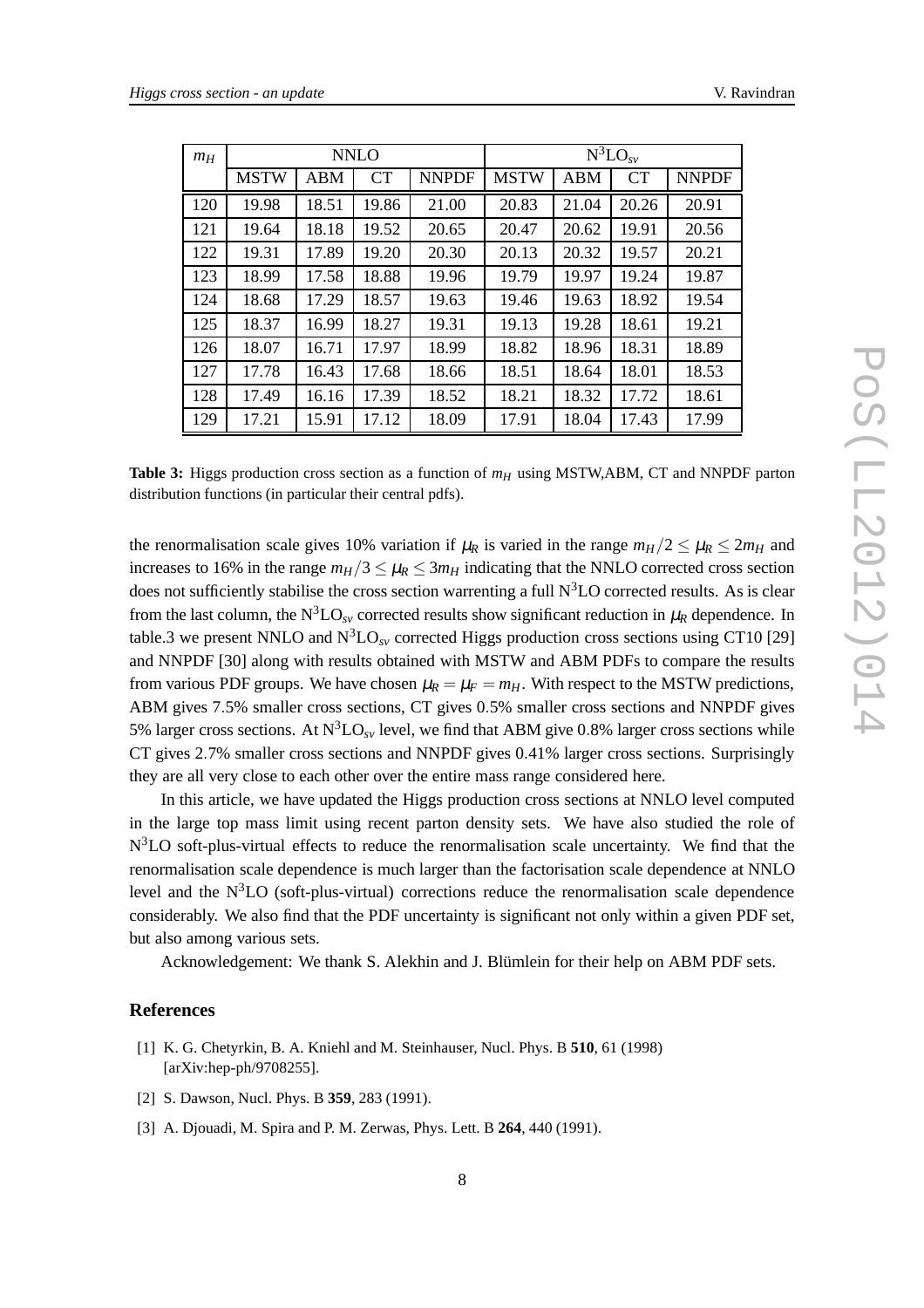| $m_H$ | <b>NNLO</b> |            |       |              | $N^3LO_{SV}$ |       |       |              |  |
|-------|-------------|------------|-------|--------------|--------------|-------|-------|--------------|--|
|       | <b>MSTW</b> | <b>ABM</b> | CT    | <b>NNPDF</b> | <b>MSTW</b>  | ABM   | CT    | <b>NNPDF</b> |  |
| 120   | 19.98       | 18.51      | 19.86 | 21.00        | 20.83        | 21.04 | 20.26 | 20.91        |  |
| 121   | 19.64       | 18.18      | 19.52 | 20.65        | 20.47        | 20.62 | 19.91 | 20.56        |  |
| 122   | 19.31       | 17.89      | 19.20 | 20.30        | 20.13        | 20.32 | 19.57 | 20.21        |  |
| 123   | 18.99       | 17.58      | 18.88 | 19.96        | 19.79        | 19.97 | 19.24 | 19.87        |  |
| 124   | 18.68       | 17.29      | 18.57 | 19.63        | 19.46        | 19.63 | 18.92 | 19.54        |  |
| 125   | 18.37       | 16.99      | 18.27 | 19.31        | 19.13        | 19.28 | 18.61 | 19.21        |  |
| 126   | 18.07       | 16.71      | 17.97 | 18.99        | 18.82        | 18.96 | 18.31 | 18.89        |  |
| 127   | 17.78       | 16.43      | 17.68 | 18.66        | 18.51        | 18.64 | 18.01 | 18.53        |  |
| 128   | 17.49       | 16.16      | 17.39 | 18.52        | 18.21        | 18.32 | 17.72 | 18.61        |  |
| 129   | 17.21       | 15.91      | 17.12 | 18.09        | 17.91        | 18.04 | 17.43 | 17.99        |  |

**Table 3:** Higgs production cross section as a function of *m<sup>H</sup>* using MSTW,ABM, CT and NNPDF parton distribution functions (in particular their central pdfs).

the renormalisation scale gives 10% variation if  $\mu_R$  is varied in the range  $m_H/2 \leq \mu_R \leq 2m_H$  and increases to 16% in the range  $m_H/3 \leq \mu_R \leq 3m_H$  indicating that the NNLO corrected cross section does not sufficiently stabilise the cross section warrenting a full  $N<sup>3</sup>LO$  corrected results. As is clear from the last column, the  $N^3LO_{SV}$  corrected results show significant reduction in  $\mu_R$  dependence. In table.3 we present NNLO and  $N<sup>3</sup>LO<sub>sv</sub>$  corrected Higgs production cross sections using CT10 [29] and NNPDF [30] along with results obtained with MSTW and ABM PDFs to compare the results from various PDF groups. We have chosen  $\mu_R = \mu_F = m_H$ . With respect to the MSTW predictions, ABM gives 7.5% smaller cross sections, CT gives 0.5% smaller cross sections and NNPDF gives 5% larger cross sections. At  $N^3LO_{SV}$  level, we find that ABM give 0.8% larger cross sections while CT gives 2.7% smaller cross sections and NNPDF gives 0.41% larger cross sections. Surprisingly they are all very close to each other over the entire mass range considered here.

In this article, we have updated the Higgs production cross sections at NNLO level computed in the large top mass limit using recent parton density sets. We have also studied the role of N<sup>3</sup>LO soft-plus-virtual effects to reduce the renormalisation scale uncertainty. We find that the renormalisation scale dependence is much larger than the factorisation scale dependence at NNLO level and the  $N<sup>3</sup>LO$  (soft-plus-virtual) corrections reduce the renormalisation scale dependence considerably. We also find that the PDF uncertainty is significant not only within a given PDF set, but also among various sets.

Acknowledgement: We thank S. Alekhin and J. Blümlein for their help on ABM PDF sets.

#### **References**

- [1] K. G. Chetyrkin, B. A. Kniehl and M. Steinhauser, Nucl. Phys. B **510**, 61 (1998) [arXiv:hep-ph/9708255].
- [2] S. Dawson, Nucl. Phys. B **359**, 283 (1991).
- [3] A. Djouadi, M. Spira and P. M. Zerwas, Phys. Lett. B **264**, 440 (1991).